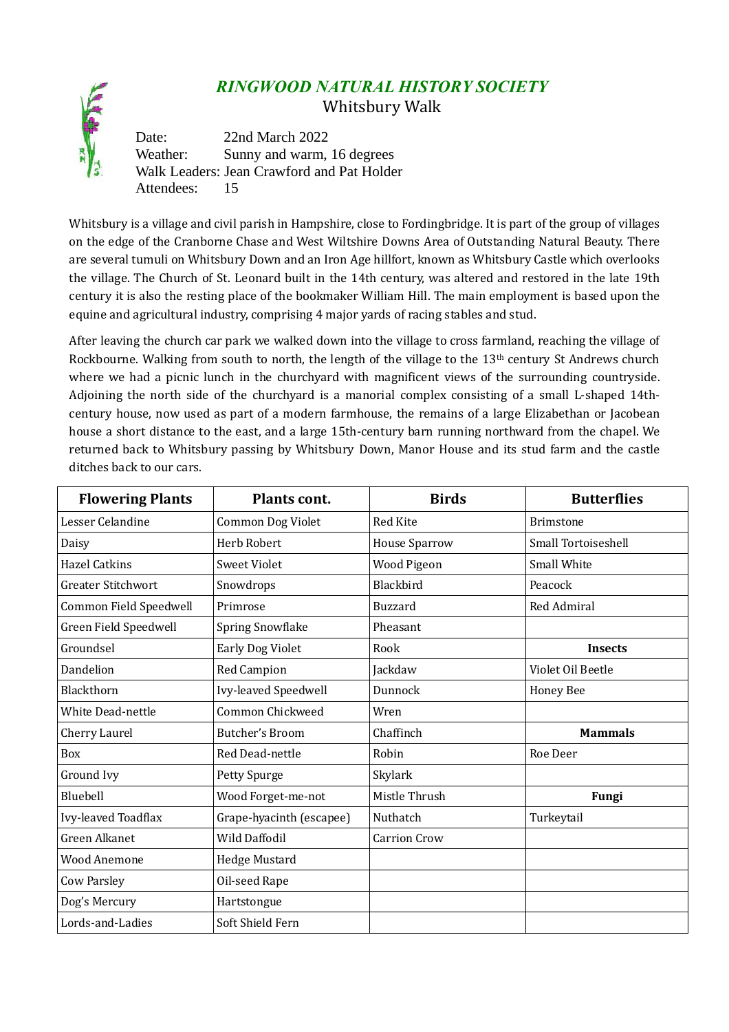## *RINGWOOD NATURAL HISTORY SOCIETY*

Whitsbury Walk

Date: 22nd March 2022 Weather: Sunny and warm, 16 degrees Walk Leaders: Jean Crawford and Pat Holder Attendees: 15

Whitsbury is a village and civil parish in Hampshire, close to Fordingbridge. It is part of the group of villages on the edge of the Cranborne Chase and West Wiltshire Downs Area of Outstanding Natural Beauty. There are several tumuli on Whitsbury Down and an Iron Age hillfort, known as Whitsbury Castle which overlooks the village. The Church of St. Leonard built in the 14th century, was altered and restored in the late 19th century it is also the resting place of the bookmaker William Hill. The main employment is based upon the equine and agricultural industry, comprising 4 major yards of racing stables and stud.

After leaving the church car park we walked down into the village to cross farmland, reaching the village of Rockbourne. Walking from south to north, the length of the village to the 13<sup>th</sup> century St Andrews church where we had a picnic lunch in the churchyard with magnificent views of the surrounding countryside. Adjoining the north side of the churchyard is a manorial complex consisting of a small L-shaped 14thcentury house, now used as part of a modern farmhouse, the remains of a large Elizabethan or Jacobean house a short distance to the east, and a large 15th-century barn running northward from the chapel. We returned back to Whitsbury passing by Whitsbury Down, Manor House and its stud farm and the castle ditches back to our cars.

| <b>Flowering Plants</b>   | <b>Plants cont.</b>      | <b>Birds</b>        | <b>Butterflies</b>         |
|---------------------------|--------------------------|---------------------|----------------------------|
| Lesser Celandine          | <b>Common Dog Violet</b> | Red Kite            | <b>Brimstone</b>           |
| Daisy                     | <b>Herb Robert</b>       | House Sparrow       | <b>Small Tortoiseshell</b> |
| <b>Hazel Catkins</b>      | <b>Sweet Violet</b>      | Wood Pigeon         | <b>Small White</b>         |
| <b>Greater Stitchwort</b> | Snowdrops                | Blackbird           | Peacock                    |
| Common Field Speedwell    | Primrose                 | <b>Buzzard</b>      | <b>Red Admiral</b>         |
| Green Field Speedwell     | <b>Spring Snowflake</b>  | Pheasant            |                            |
| Groundsel                 | Early Dog Violet         | Rook                | <b>Insects</b>             |
| Dandelion                 | Red Campion              | Jackdaw             | Violet Oil Beetle          |
| Blackthorn                | Ivy-leaved Speedwell     | Dunnock             | <b>Honey Bee</b>           |
| <b>White Dead-nettle</b>  | Common Chickweed         | Wren                |                            |
| Cherry Laurel             | Butcher's Broom          | Chaffinch           | <b>Mammals</b>             |
| <b>Box</b>                | Red Dead-nettle          | Robin               | Roe Deer                   |
| Ground Ivy                | Petty Spurge             | Skylark             |                            |
| Bluebell                  | Wood Forget-me-not       | Mistle Thrush       | Fungi                      |
| Ivy-leaved Toadflax       | Grape-hyacinth (escapee) | Nuthatch            | Turkeytail                 |
| <b>Green Alkanet</b>      | <b>Wild Daffodil</b>     | <b>Carrion Crow</b> |                            |
| <b>Wood Anemone</b>       | Hedge Mustard            |                     |                            |
| <b>Cow Parsley</b>        | Oil-seed Rape            |                     |                            |
| Dog's Mercury             | Hartstongue              |                     |                            |
| Lords-and-Ladies          | Soft Shield Fern         |                     |                            |